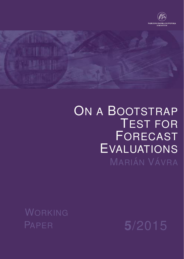



# ON A BOOTSTRAP TEST FOR FORECAST EVALUATIONS MARIÁN VÁVRA

WORKING

PAPER **5**/2015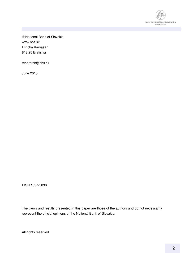

© National Bank of Slovakia www.nbs.sk Imricha Karvaša 1 813 25 Bratislva

reserarch@nbs.sk

June 2015

ISSN 1337-5830

The views and results presented in this paper are those of the authors and do not necessarily represent the official opinions of the National Bank of Slovakia.

All rights reserved.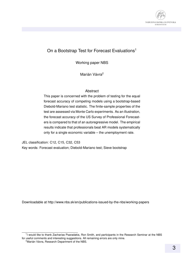

#### On a Bootstrap Test for Forecast Evaluations<sup>1</sup>

Working paper NBS

Marián Vávra<sup>2</sup>

#### Abstract

This paper is concerned with the problem of testing for the equal forecast accuracy of competing models using a bootstrap-based Diebold-Mariano test statistic. The finite-sample properties of the test are assessed via Monte Carlo experiments. As an illustration, the forecast accuracy of the US Survey of Professional Forecasters is compared to that of an autoregressive model. The empirical results indicate that professionals beat AR models systematically only for a single economic variable – the unemployment rate.

JEL classification: C12, C15, C32, C53 Key words: Forecast evaluation; Diebold-Mariano test; Sieve bootstrap

Downloadable at http://www.nbs.sk/en/publications-issued-by-the-nbs/working-papers

<sup>&</sup>lt;sup>1</sup>I would like to thank Zacharias Psaradakis, Ron Smith, and participants in the Research Seminar at the NBS for useful comments and interesting suggestions. All remaining errors are only mine.

 $2^{\circ}$ Marián Vávra, Research Department of the NBS.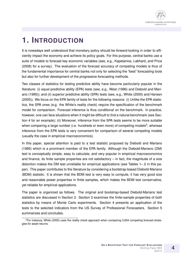## **1. INTRODUCTION**

It is nowadays well understood that monetary policy should be forward-looking in order to efficiently impact the economy and achieve its policy goals. For this purpose, central banks use a suite of models to forecast key economic variables (see, e.g., Kapetanios, Labhard, and Price (2008) for a survey). The evaluation of the forecast accuracy of competing models is thus of the fundamental importance for central banks not only for selecting the "best" forecasting tools but also for further development of the progressive forecasting methods.

Two classes of statistics for testing predictive ability have become particularly popular in the literature: (i) equal predictive ability (EPA) tests (see, e.g., West (1996) and Diebold and Mariano (1995)); and (ii) superior predictive ability (SPA) tests (see, e.g., White (2000) and Hansen (2005)). We focus on the EPA family of tests for the following reasons: (i) Unlike the EPA statistics, the SPA ones (e.g. the White's reality check) require the specification of the benchmark model for comparison. Forecast inference is thus conditional on the benchmark. In practice, however, one can face situations when it might be difficult to find a natural benchmark (see Section 4 for an example); (ii) Moreover, inference from the SPA tests seems to be more suitable when comparing a large number (i.e. hundreds or even more) of competing models<sup>3</sup>, whereas inference from the EPA tests is very convenient for comparison of several competing models (usually the case in empirical macroeconomics).

In this paper, special attention is paid to a test statistic proposed by Diebold and Mariano (1995) which is a prominent member of the EPA family. Although the Diebold-Mariano (DM) test is conceptually simple, easy to calculate, and very popular in empirical macroeconomics and finance, its finite sample properties are not satisfactory  $-$  in fact, the magnitude of a size distortion makes the DM test unreliable for empirical applications (see Tables 1– 2 in this paper). This paper contributes to the literature by considering a bootstrap-based Diebold-Mariano (BDM) statistic. It is shown that the BDM test is very easy to compute, it has very good size and reasonable power properties in finite samples, which makes the BDM test conservative, yet reliable for empirical applications.

The paper is organized as follows. The original and bootstrap-based Diebold-Mariano test statistics are discussed in Section 2. Section 3 examines the finite-sample properties of both statistics by means of Monte Carlo experiments. Section 4 presents an application of the tests to the selected indicators from the US Survey of Professional Forecasters. Section 5 summarizes and concludes.

 $3$ For instance, White (2000) uses the reality check approach when comparing 3,654 competing forecast strategies for asset returns.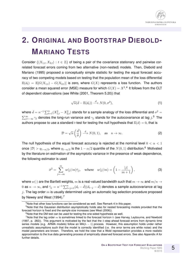

## **2. ORIGINAL AND BOOTSTRAP DIEBOLD-MARIANO TESTS**

Consider  $\{(X_{1,t}, X_{2,t}): t \in \mathbb{Z}\}\$  of being a pair of the covariance stationary and pairwise correlated forecast errors coming from two alternative (non-nested) models. Then, Diebold and Mariano (1995) proposed a conceptually simple statistic for testing the equal forecast accuracy of two competing models based on testing that the population mean of the loss differential  $\mathbb{E}(d_t) = \mathbb{E}[G(X_{1,t}) - G(X_{2,t})]$  is zero, where  $G(X)$  represents a loss function. The authors consider a mean squared error (MSE) measure for which  $G(X) = X^2$ .<sup>4</sup> It follows from the CLT of dependent observations (see White (2001, Theorem 5.20)) that

$$
\sqrt{n}(\bar{d}-\mathbb{E}(d_t)) \stackrel{d}{\longrightarrow} N(0,\sigma^2),\tag{1}
$$

where  $\bar{d}=n^{-1}\sum_{t=1}^n(X_{1,t}^2-X_{2,t}^2)$  stands for a sample analogy of the loss differential and  $\sigma^2=$  $\sum_{j=-\infty}^{\infty}\gamma_j$  denotes the long-run variance and  $\gamma_j$  stands for the autocovariance at lag  $j.^5$  The authors propose to use a standard *t*-test for testing the null hypothesis that  $\mathbb{E}(d) = 0$ , that is

$$
\mathcal{D} = \sqrt{n} \left( \frac{\bar{d}}{\hat{\sigma}} \right) \xrightarrow{d} N(0, 1), \quad \text{as} \quad n \to \infty.
$$
 (2)

The null hypothesis of the equal forecast accuracy is rejected at the nominal level  $0 < \alpha < 1$ once  $|\mathcal{D}| > q_{1-\alpha/2}$ , where  $q_{1-\alpha/2}$  is the  $1-\alpha/2$  quantile of the  $N(0,1)$  distribution.<sup>6</sup> Motivated by the literature on estimation of the asymptotic variance in the presence of weak dependence, the following estimator is used

$$
\hat{\sigma}^2 = \sum_{j=-m}^{m} w(j/m)\hat{\gamma}_j, \quad \text{where} \quad w(j/m) = \left(1 - \frac{|j|}{m+1}\right),\tag{3}
$$

where  $w(\cdot)$  are the Bartlett weights, m is a real-valued bandwidth such that  $m \to \infty$  and  $m/n \to$  $0$  as  $n\to\infty$ , and  $\hat\gamma_j=n^{-1}\sum_{t=j+1}^n(d_t-\bar d)(d_{t-j}-\bar d)$  denotes a sample autocovariance at lag j. The lag order  $m$  is usually determined using an automatic lag selection procedure proposed by Newey and West (1994).<sup>7</sup>

<sup>&</sup>lt;sup>4</sup>Note that other loss functions can be considered as well. See Remark 4 in this paper.

<sup>5</sup>Note that the Gaussian distribution asymptotically holds also for nested forecasting models provided that the forecast horizon is fixed and the sample size increases (see West (2006)).

 $6$ Note that the DM test can be used for testing the one-sided hypothesis as well.

<sup>&</sup>lt;sup>7</sup>Note that the lag order  $m$  is sometimes linked to the forecast horizon  $h$  (see Harvey, Leybourne, and Newbold (1997, p. 282)). This argument is motivated by the fact that the h-step ahead forecast errors from dynamic time series models (e.g. ARMA models) follow an MA( $h - 1$ ) process. However, this assumption holds under rather unrealistic assumptions such that the model is correctly identified (i.e. the error terms are white noise) and the model parameters are known. Therefore, we hold the view that a Wold representation provides a more realistic approximation to the true data generating process of empirically observed forecast errors. See also Appendix A for further details.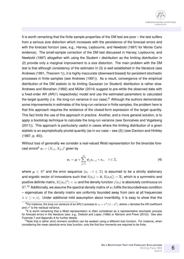

It is worth remarking that the finite sample properties of the DM test are poor – the test suffers from a serious size distortion which increases with the persistence of the forecast errors and with the forecast horizon (see, e.g., Harvey, Leybourne, and Newbold (1997) for Monte Carlo evidence). The small-sample correction of the DM test discussed in Harvey, Leybourne, and Newbold (1997) altogether with using the Student  $t$  distribution as the limiting distribution in (2) provide only a marginal improvement to a size distortion. The main problem with the DM test is that although consistency of the estimator in (3) is well established in the literature (see Andrews (1991, Theorem 1)), it is highly inaccurate (downward biased) for persistent stochastic processes in finite samples (see Andrews (1991)). As a result, convergence of the empirical distribution of the DM statistic to its limiting Gaussian (or Student) distribution is rather slow. Andrews and Monahan (1992) and Müller (2014) suggest to pre-white the observed data with a fixed-order AR (AR(1) respectively) model and use the estimated parameters to calculated the target quantity (i.e. the long-run variance in our case).<sup>8</sup> Although the authors demonstrate some improvements in estimates of the long-run variance in finite samples, the problem here is that this approach requires the existence of the closed-form expression of the target quantity. This fact limits the use of this approach in practice. Another, and a more general solution, is to apply a bootstrap technique to calculate the long-run variance (see Goncalves and Vogelsang (2011)). This approach is particularly useful in cases where the limiting distribution of a given statistic is an asymptotically pivotal quantity (as in our case – see (2)) (see Davison and Hinkley (1997, p. 40)).

Without loss of generality we consider a real-valued Wold representation for the bivariate forecast errors $^{\mathbf{\Theta}}\, \boldsymbol{x}_t = (X_{1,t}, X_{2,t})'$  given by

$$
x_t = \mu + \sum_{j=1}^{\infty} \psi_j \epsilon_{t-j} + \epsilon_t, \quad t \in \mathbb{Z},
$$
 (4)

where  $\mu\,\in\,\mathbb{R}^2$  and the error sequence  $\{\epsilon_t\,:\,t\,\in\,\mathbb{Z}\}$  is assumed to be a strictly stationary and ergodic vector of innovations such that  $\mathbb{E}(\epsilon_t)=0,$   $\mathbb{E}(\epsilon_t\epsilon'_t)=\boldsymbol{\Sigma},$  which is a symmetric and positive definite matrix,  $\mathbb{E}(||\bm{\epsilon}_t||^8)<\infty$  and the density function  $f(\bm{\epsilon}_t)$  is absolutely continuous on  $\mathbb{R}^2.10$  Additionally, we assume the spectral density matrix of  $x_t$  fulfils the boundedness condition – eigenvalues of the density matrix are uniformly bounded away from zero at all frequencies  $\lambda \in [-\pi, \pi]$ . Under additional mild assumption about invertibility, it is easy to show that the

 $^8$ For instance, the long-run variance of an AR(1) process is  $\gamma_0=\sigma^2/(1-\phi^2),$  where  $\phi$  denotes the AR coefficient and  $\sigma^2$  is the residual variance.

<sup>&</sup>lt;sup>9</sup>It is worth remarking that a Wold representation is often considered as a representative stochastic process for forecast errors in the literature (see, e.g., Diebold and Lopez (1996) or Mariano and Preve (2012)). See also Footnote 7 and Appendix A for further details.

 $10$ Note that a rather strict moment condition can be weaken using a different loss function. For instance, when considering the mean absolute error loss function, only the first four moments are required to be finite.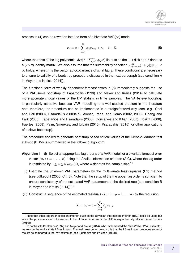

process in (4) can be rewritten into the form of a bivariate VAR( $\infty$ ) model

$$
x_t = c + \sum_{j=1}^{\infty} \phi_j x_{t-j} + \epsilon_t, \quad t \in \mathbb{Z},
$$
 (5)

where the roots of the lag polynomial  $\det(\bm{I} \!-\! \sum_{j=1}^{\infty}\bm{\phi}_j z^j)$  lie outside the unit disk and  $\bm{I}$  denotes a (2 × 2) identity matrix. We also assume that the summability condition  $\sum_{j=-\infty}^{\infty}(1+|j|)||\Gamma_j|| <$  $\infty$  holds, where  $\Gamma_j$  is the vector autocovariance of  $x_t$  at lag j. These conditions are necessary to ensure to validity of a bootstrap procedure discussed in the next paragraph (see condition A in Meyer and Kreiss (2014)).

The functional form of weakly dependent forecast errors in (5) immediately suggests the use of a VAR-sieve bootstrap of Paparoditis (1996) and Meyer and Kreiss (2014) to calculate more accurate critical values of the DM statistic in finite samples. The VAR-sieve bootstrap is particularly attractive because VAR modelling is a well-studied problem in the literature and, therefore, the procedure can be implemented in a straightforward way (see, e.g., Choi and Hall (2000), Psaradakis (2003a,b), Alonso, Peña, and Romo (2002, 2003), Chang and Park (2003), Kapetanios and Psaradakis (2006), Gonçalves and Kilian (2007), Poskitt (2008), Fuertes (2008), Palm, Smeekes, and Urbain (2010), Psaradakis (2015) for other applications of a sieve bootstrap).

The procedure applied to generate bootstrap based critical values of the Diebold-Mariano test statistic (BDM) is summarized in the following algorithm.

- **Algorithm 1** (i) Select an appropriate lag order p of a VAR model for a bivariate forecast error vector  $\{ \boldsymbol{x}_t : t = 1, \dots, n \}$  using the Akaike information criterion (AIC), where the lag order is restricted by  $0 \le p \le 5 \log_{10}(n)$ , where *n* denotes the sample size.<sup>11</sup>
- (ii) Estimate the unknown VAR parameters by the multivariate least-squares (LS) method (see Lütkepohl (2005, Ch. 3). Note that the setup of the the upper lag order is sufficient to ensure consistency of the estimated VAR parameters at the desired rate (see condition B in Meyer and Kreiss  $(2014)$ ).<sup>12</sup>
- (iii) Construct a sequence of the estimated residuals  $\{\hat{\epsilon}_t: t=p+1,\ldots,n\}$  by the recursion

$$
\hat{\boldsymbol{\epsilon}}_t = \boldsymbol{x}_t - \hat{\boldsymbol{c}} - \sum_{j=1}^p \hat{\boldsymbol{\phi}}_j \boldsymbol{x}_{t-j}.
$$

 $11$ Note that other lag order selection criterion such as the Bayesian information criterion (BIC) could be used, but since the processes are not assumed to be of finite dimensions, the AIC is asymptotically efficient (see Shibata (1980))

 $12$ In contrast to Bühlmann (1997) and Meyer and Kreiss (2014), who implemented the Yule-Walker (YW) estimator, we rely on the multivariate LS estimator. The main reason for doing so is that the LS estimator produces superior results as compared to the YW estimator (see Tjøstheim and Paulsen (1983)).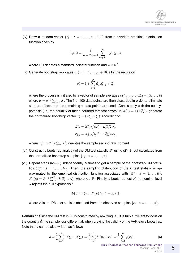(iv) Draw a random vector  $\{\hat{\epsilon}_t^* : t = 1, \ldots, n + 100\}$  from a bivariate empirical distribution function given by

$$
\hat{F}_n(\boldsymbol{u}) = \frac{1}{n-2p-1} \sum_{t=p+1}^n \mathbb{I}(\hat{\boldsymbol{\epsilon}}_t \leq \boldsymbol{u}),
$$

where  $\mathbb{I}(\cdot)$  denotes a standard indicator function and  $\bm{u}\in\mathbb{R}^2.$ 

(v) Generate bootstrap replicates  $\{x_t^*: t = 1, \ldots, n + 100\}$  by the recursion

$$
\boldsymbol{x}_t^* = \hat{\boldsymbol{c}} + \sum_{j=1}^p \hat{\boldsymbol{\phi}}_j \boldsymbol{x}_{t-j}^* + \hat{\boldsymbol{\epsilon}}_t^*.
$$

where the process is initiated by a vector of sample averages  $(\bm{x}_{-p+1}^*,\ldots,\bm{x}_0^*)=(\bar{x},\ldots,\bar{x})$ where  $\bar{x}=n^{-1}\sum_{t=1}^n x_t.$  The first 100 data points are then discarded in order to eliminate start-up effects and the remaining  $n$  data points are used. Consistently with the null hypothesis (i.e. the equality of mean squared forecast errors:  $\mathbb{E}(X_{1,t}^2)=\mathbb{E}(X_{2,t}^2)),$  generate the normalized bootstrap vector  $\boldsymbol{z}^*_t = (Z_{1,t}^*,Z_{2,t}^*)'$  according to

$$
Z_{1,t}^{*} = X_{1,t}^{*} \sqrt{(\omega_1^2 + \omega_2^2)/2\omega_1^2},
$$
  

$$
Z_{2,t}^{*} = X_{2,t}^{*} \sqrt{(\omega_1^2 + \omega_2^2)/2\omega_2^2},
$$

where  $\omega_i^2 = n^{-1} \sum_{t=1}^n X_{i,t}^2$  denotes the sample second raw moment.

- (vi) Construct a bootstrap analogy of the DM test statistic  $B^*$  using (2)-(3) but calculated from the normalized bootstrap samples  $\{\boldsymbol{z}_t^*: t = 1, \ldots, n\}.$
- (vii) Repeat steps (iv)–(vi) independently  $B$  times to get a sample of the bootstrap DM statistics  $\{\mathcal{B}_{j}^{*}: j = 1, \ldots, B\}$ . Then, the sampling distribution of the  $\mathcal B$  test statistic is approximated by the empirical distribution function associated with  $\{\mathcal{B}_{j}^* \,:\, j\,=\,1,\ldots,B\}$ :  $H^*(u)=B^{-1}\sum_{j=1}^B I(\mathcal{B}^*_j\leq u),$  where  $u\in\mathbb{R}.$  Finally, a bootstrap test of the nominal level  $\alpha$  rejects the null hypothesis if

$$
|\mathcal{B}| > \inf\{u : H^*(u) \ge (1 - \alpha/2)\},\
$$

where  ${\cal B}$  is the DM test statistic obtained from the observed samples  $\{ {\bm x}_t : t = 1, \ldots, n \}.$ 

**Remark 1:** Since the DM test in (2) is constructed by rewriting (1), it is fully sufficient to focus on the quantity  $\bar{d}$ , the sample loss differential, when proving the validity of the VAR-sieve bootstrap. Note that  $\bar{d}$  can be also written as follows

$$
\bar{d} = \frac{1}{n} \sum_{t=1}^{n} \left( X_{1,t}^2 - X_{2,t}^2 \right) = \frac{1}{n} \sum_{t=1}^{n} \delta'(x_t \odot x_t) = \frac{1}{n} \sum_{t=1}^{n} g(x_t), \tag{6}
$$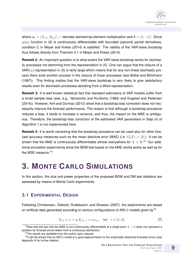where  $x_t = (X_{1,t}, X_{2,t})'$ ,  $\odot$  denotes element-by-element multiplication and  $\boldsymbol{\delta} = (1,-1)'$ . Since  $q(x_t)$  function in (6) is continuously differentiable with bounded (second) partial derivatives, condition C in Meyer and Kreiss (2014) is satisfied. The validity of the VAR-sieve bootstrap thus follows directly from Theorem 4.1 in Meyer and Kreiss (2014).

**Remark 2:** An important question is to what extent the VAR-sieve bootstrap works for stochastic processes not stemming from the representation in (5). One can argue that the closure of a VAR( $\infty$ ) representation in (5) is fairly large which means that for any non-linear stochastic process there exist another process in the closure of linear processes (see Bickel and Bühlmann (1997)). This finding implies that the VAR-sieve bootstrap is very likely to give satisfactory results even for stochastic processes deviating from a Wold representation.

**Remark 3:** It is well known statistical fact that standard estimators of VAR models suffer from a small sample bias (see, e.g., Yamamoto and Kunitomo (1984) and Engsted and Pedersen (2014)). However, Kim and Durmaz (2012) show that a bootstrap bias correction does not necessarily improve the forecast performance. The reason is that although a bootstrap procedure reduces a bias, it tends to increase a variance, and thus, the impact on the MSE is ambiguous. Therefore, the bootstrap bias correction of the estimated VAR parameters in Step (ii) of Algorithm 1 is not implemented here.

**Remark 4:** It is worth remarking that the bootstrap procedure can be used also for other forecast accuracy measures such as the mean absolute error (MAE) (i.e.  $G(X) = |X|$ ). It can be shown that the MAE is continuously differentiable almost everywhere for  $X \in \mathbb{R}^{13}$  Our additional simulation experiments show the BDM test based on the MAE works works as well as for the MSE measure.<sup>14</sup>

### **3. MONTE CARLO SIMULATIONS**

In this section, the size and power properties of the proposed BDM and DM test statistics are assessed by means of Monte Carlo experiments.

#### **3.1 EXPERIMENTAL DESIGN**

Following Christensen, Diebold, Rudebusch, and Strasser (2007), the experiments are based on artificial data generated according to various configurations of  $AR(1)$  models given by<sup>15</sup>

$$
X_{i,t} = c_i + \phi_i X_{i,t-1} + \kappa_i \epsilon_{i,t}, \quad \text{for} \quad i \in \{1,2\}.
$$
 (7)

<sup>&</sup>lt;sup>13</sup>Note that the fact that the MAE is not continuously differentiable at a single point  $X = 0$  does not represent a problem for forecast errors drawn from a continuous distribution.

<sup>&</sup>lt;sup>14</sup>The results are available from the author upon request.

 $15$ It can be shown that an AR(1) model is a good approximation to the empirically observed forecasts errors (see Appendix A for further details).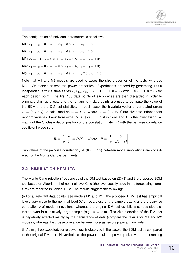The configuration of individual parameters is as follows:

**M1:**  $c_1 = c_2 = 0.2, \phi_1 = \phi_2 = 0.5, \kappa_1 = \kappa_2 = 1.0;$ **M2:**  $c_1 = c_2 = 0.2, \phi_1 = \phi_2 = 0.8, \kappa_1 = \kappa_2 = 1.0;$ **M3:**  $c_1 = 0.4$ ,  $c_2 = 0.2$ ,  $\phi_1 = \phi_2 = 0.8$ ,  $\kappa_1 = \kappa_2 = 1.0$ ; **M4:**  $c_1 = c_2 = 0.2, \phi_1 = 0.8, \phi_2 = 0.5, \kappa_1 = \kappa_2 = 1.0;$ **M5:**  $c_1 = c_2 = 0.2, \phi_1 = \phi_2 = 0.8, \kappa_1 =$ √ 2.0,  $\kappa_2 = 1.0$ ;

Note that M1 and M2 models are used to asses the size properties of the tests, whereas M3 – M5 models assess the power properties. Experiments proceed by generating 1,000 independent artificial time series  $\{(X_{1,t}, X_{2,t}) : t = 1, \ldots, 100 + n\}$  with  $n \in \{50, 100, 200\}$  for each design point. The first 100 data points of each series are then discarded in order to eliminate start-up effects and the remaining  $n$  data points are used to compute the value of the BDM and the DM test statistics. In each case, the bivariate vector of correlated errors  $\epsilon_t = (\epsilon_{1,t}, \epsilon_{2,t})'$  is calculated as  $\epsilon_t = Pv_t$ , where  $v_t = (v_{1,t}, v_{2,t})'$  are bivariate independent random varieties drawn from either  $N(0, 1)$  or  $t(10)$  distributions and P is the lower triangular matrix of the Choleski decomposition of the correlation matrix  $R$  with the pairwise correlation coefficient  $\rho$  such that

$$
\boldsymbol{R} = \begin{bmatrix} 1 & \rho \\ \rho & 1 \end{bmatrix} = \boldsymbol{P}\boldsymbol{P}', \quad \text{where} \quad \boldsymbol{P} = \begin{bmatrix} 1 & 0 \\ \rho & \sqrt{1 - \rho^2} \end{bmatrix}.
$$

Two values of the pairwise correlation  $\rho \in \{0.25, 0.75\}$  between model innovations are considered for the Monte Carlo experiments.

#### **3.2 SIMULATION RESULTS**

The Monte Carlo rejection frequencies of the DM test based on (2)-(3) and the proposed BDM test based on Algorithm 1 of nominal level 0.10 (the level usually used in the forecasting literature) are reported in Tables  $1 - 2$ . The results suggest the following:

(i) For all relevant data points (see models M1 and M2), the proposed BDM test has empirical levels very close to the nominal level 0.10, regardless of the sample size  $n$  and the pairwise correlation  $\rho$  of model innovations, whereas the original DM test exhibits a serious size distortion even in a relatively large sample (e.g.  $n = 200$ ). The size distortion of the DM test is negatively affected mainly by the persistence of data (compare the results for M1 and M2 models), whereas the cross-correlation between forecast errors plays a minor role.

(ii) As might be expected, some power loss is observed in the case of the BDM test as compared to the original DM test. Nevertheless, the power results improve quickly with the increasing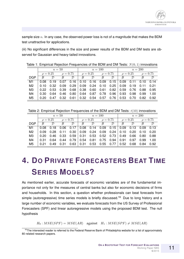sample size  $n$ . In any case, the observed power loss is not of a magnitude that makes the BDM test unattractive for applications.

(iii) No significant differences in the size and power results of the BDM and DM tests are observed for Gaussian and heavy-tailed innovations.

Table 1: Empirical Rejection Frequencies of the BDM and DM Tests:  $N(0, 1)$  innovations

|                | $n=50$        |               |                                                                                     |               | $n=100$       |               |               |                                                                                                                                                 | $n = 200$     |               |               |               |
|----------------|---------------|---------------|-------------------------------------------------------------------------------------|---------------|---------------|---------------|---------------|-------------------------------------------------------------------------------------------------------------------------------------------------|---------------|---------------|---------------|---------------|
|                |               |               | $\rho = 0.25$ $\rho = 0.75$ $\rho = 0.25$ $\rho = 0.75$ $\rho = 0.25$ $\rho = 0.75$ |               |               |               |               |                                                                                                                                                 |               |               |               |               |
| <b>DGP</b>     | $\mathcal{B}$ | $\mathcal{D}$ | $\mathcal{B}$                                                                       | $\mathcal{D}$ | $\mathcal{B}$ | $\mathcal{D}$ | $\mathcal{B}$ | $\mathcal{D}$                                                                                                                                   | $\mathcal{B}$ | $\mathcal{D}$ | $\mathcal{B}$ | $\mathcal{D}$ |
| M1             | 0.08          |               |                                                                                     |               |               |               |               | $0.19$ 0.07 0.16 0.10 0.16 0.09 0.15 0.09 0.11 0.10 0.14                                                                                        |               |               |               |               |
| M2             |               |               |                                                                                     |               |               |               |               | $\vert$ 0.10 0.32 0.09 0.29 $\vert$ 0.09 0.24 0.10 0.25 $\vert$ 0.09 0.19 0.11 0.21                                                             |               |               |               |               |
| M <sub>3</sub> |               |               |                                                                                     |               |               |               |               | $\mid$ 0.22 $\mid$ 0.53 $\mid$ 0.39 $\mid$ 0.68 $\mid$ 0.38 $\mid$ 0.60 $\mid$ 0.61 $\mid$ 0.82 $\mid$ 0.59 $\mid$ 0.76 $\mid$ 0.88 $\mid$ 0.95 |               |               |               |               |
| M4             | l 0.30 l      |               |                                                                                     |               |               |               |               | $0.64$ 0.46 0.80 0.64 0.87 0.78 0.96 0.93 0.98 0.99 1.00                                                                                        |               |               |               |               |
| M <sub>5</sub> |               |               |                                                                                     |               |               |               |               | 0.20 0.47 0.32 0.61 0.32 0.54 0.57 0.76 0.53 0.70 0.82 0.92                                                                                     |               |               |               |               |

Table 2: Empirical Rejection Frequencies of the BDM and DM Tests:  $t(10)$  innovations

|                | $n=50$        |               |                                                                                     |                                                                                                                                     | $n=100$ |                                           |  |               | $n = 200$     |                          |               |               |
|----------------|---------------|---------------|-------------------------------------------------------------------------------------|-------------------------------------------------------------------------------------------------------------------------------------|---------|-------------------------------------------|--|---------------|---------------|--------------------------|---------------|---------------|
|                |               |               | $\rho = 0.25$ $\rho = 0.75$ $\rho = 0.25$ $\rho = 0.75$ $\rho = 0.25$ $\rho = 0.75$ |                                                                                                                                     |         |                                           |  |               |               |                          |               |               |
| DGP            | $\mathcal{B}$ | $\mathcal{D}$ | $\mathcal{B}$                                                                       | $\mathcal{D}$                                                                                                                       |         | $\mathcal{B}$ $\mathcal{D}$ $\mathcal{B}$ |  | $\mathcal{D}$ | $\mathcal{B}$ | $\overline{\phantom{a}}$ | $\mathcal{B}$ | $\mathcal{D}$ |
| M1             |               |               |                                                                                     | $0.08$ 0.18 0.06 0.17 0.08 0.14 0.09 0.15 0.09 0.13 0.09 0.13                                                                       |         |                                           |  |               |               |                          |               |               |
| M <sub>2</sub> |               |               |                                                                                     | $\vert$ 0.09 0.28 0.11 0.30 $\vert$ 0.09 0.24 0.09 0.24 $\vert$ 0.10 0.20 0.10 0.20                                                 |         |                                           |  |               |               |                          |               |               |
| MЗ             |               |               |                                                                                     | $\mid$ 0.20 $\mid$ 0.46 $\mid$ 0.33 $\mid$ 0.59 $\mid$ 0.31 $\mid$ 0.52 $\mid$ 0.73 $\mid$ 0.49 $\mid$ 0.66 $\mid$ 0.80 $\mid$ 0.88 |         |                                           |  |               |               |                          |               |               |
| M <sub>4</sub> |               |               |                                                                                     | $0.31$ $0.64$ $0.44$ $0.79$ 0.54 0.81 0.75 0.94 0.91 0.97 0.99 1.00                                                                 |         |                                           |  |               |               |                          |               |               |
| M5             |               |               |                                                                                     | 0.21 0.49 0.31 0.63 0.31 0.53 0.55 0.77 0.52 0.68 0.84 0.92                                                                         |         |                                           |  |               |               |                          |               |               |

## **4. DO PRIVATE FORECASTERS BEAT TIME SERIES MODELS?**

As mentioned earlier, accurate forecasts of economic variables are of the fundamental importance not only for the measures of central banks but also for economic decisions of firms and households. In this section, a question whether professionals can beat forecasts from simple (autoregressive) time series models is briefly discussed.<sup>16</sup> Due to long history and a large number of economic variables, we evaluate forecasts from the US Survey of Professional Forecasters (SPF) and linear autoregressive models using the proposed BDM test. The null hypothesis

 $H_0$ :  $MSE(SPF) = MSE(AR)$  against  $H_1$ :  $MSE(SPF) \neq MSE(AR)$ 

<sup>&</sup>lt;sup>16</sup>The interested reader is referred to the Federal Reserve Bank of Philadelphia website for a list of approximately 80 related research papers.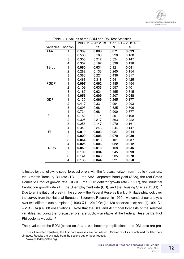

|              |                         |               | 1983 Q1-2012 Q3 | 1991 Q1 - 2012 Q3 |            |  |  |
|--------------|-------------------------|---------------|-----------------|-------------------|------------|--|--|
| variables    | horizon                 | $\mathcal{B}$ | $\mathcal{D}$   | $\mathcal B$      | ${\cal D}$ |  |  |
| AAA          | 1                       | 0.389         | 0.098           | 0.071             | 0.023      |  |  |
|              | 2                       | 0.586         | 0.168           | 0.220             | 0.108      |  |  |
|              | 3                       | 0.300         | 0.212           | 0.324             | 0.147      |  |  |
|              | 4                       | 0.307         | 0.192           | 0.398             | 0.198      |  |  |
| <b>TBILL</b> | 1                       | 0.080         | 0.034           | 0.121             | 0.051      |  |  |
|              | 2                       | 0.282         | 0.133           | 0.265             | 0.154      |  |  |
|              | 3                       | 0.385         | 0.221           | 0.436             | 0.317      |  |  |
|              | $\overline{\mathbf{4}}$ | 0.463         | 0.318           | 0.541             | 0.425      |  |  |
| <b>PGDP</b>  | 1                       | 0.097         | 0.062           | 0.485             | 0.454      |  |  |
|              | $\overline{c}$          | 0.109         | 0.033           | 0.557             | 0.401      |  |  |
|              | 3                       | 0.187         | 0.034           | 0.455             | 0.315      |  |  |
|              | $\overline{\mathbf{4}}$ | 0.056         | 0.009           | 0.207             | 0.048      |  |  |
| <b>GDP</b>   | 1                       | 0.130         | 0.069           | 0.265             | 0.177      |  |  |
|              | 2                       | 0.417         | 0.331           | 0.994             | 0.993      |  |  |
|              | 3                       | 0.693         | 0.681           | 0.825             | 0.806      |  |  |
|              | 4                       | 0.734         | 0.681           | 0.900             | 0.877      |  |  |
| IP           | 1                       | 0.182         | 0.114           | 0.291             | 0.198      |  |  |
|              | 2                       | 0.305         | 0.217           | 0.363             | 0.222      |  |  |
|              | 3                       | 0.258         | 0.147           | 0.270             | 0.161      |  |  |
|              | 4                       | 0.343         | 0.246           | 0.244             | 0.147      |  |  |
| <b>UR</b>    | 1                       | 0.019         | 0.003           | 0.027             | 0.014      |  |  |
|              | 2                       | 0.029         | 0.006           | 0.079             | 0.030      |  |  |
|              | 3                       | 0.064         | 0.013           | 0.101             | 0.037      |  |  |
|              | $\overline{4}$          | 0.025         | 0.006           | 0.022             | 0.012      |  |  |
| <b>HOUS</b>  | 1                       | 0.059         | 0.013           | 0.158             | 0.045      |  |  |
|              | $\overline{\mathbf{c}}$ | 0.109         | 0.034           | 0.245             | 0.093      |  |  |
|              | 3                       | 0.141         | 0.043           | 0.235             | 0.078      |  |  |
|              | $\overline{\mathbf{4}}$ | 0.138         | 0.044           | 0.221             | 0.050      |  |  |

Table 3: P-values of the BDM and DM Test Statistics

is tested for the following set of forecast errors with the forecast horizon from 1 up to 4 quarters: the 3-month Treasury Bill rate (TBILL), the AAA Corporate Bond yield (AAA), the real Gross Domestic Product growth rate (RGDP), the GDP deflator growth rate (PGDP), the Industrial Production growth rate (IP), the Unemployment rate (UR), and the Housing Starts (HOUS).<sup>17</sup> Due to an institutional break in the survey – the Federal Reserve Bank of Philadelphia took over the survey from the National Bureau of Economic Research in 1990 – we conduct our analysis over two different sub-samples: (i) 1983 Q1 – 2012 Q4 (i.e 120 observations); and (ii) 1991 Q1 – 2012 Q4 (i.e. 88 observations). Note that the SPF and AR model forecasts of the selected variables, including the forecast errors, are publicly available at the Federal Reserve Bank of Philadelphia website.<sup>18</sup>

The *p*-values of the BDM (based on  $B = 1,000$  bootstrap replications) and DM tests are pre-

 $17$ For all selected variables, the first data releases are considered. Similar results are obtained for later data vintages. Results are available from the second author upon request.

<sup>18</sup>www.philadelphiafed.org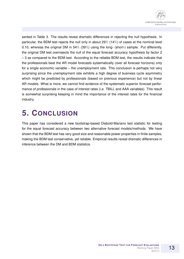

sented in Table 3. The results reveal dramatic differences in rejecting the null hypothesis. In particular, the BDM test rejects the null only in about 29% (14%) of cases at the nominal level 0.10, whereas the original DM in 54% (39%) using the long- (short-) sample. Put differently, the original DM test overrejects the null of the equal forecast accuracy hypothesis by factor 2 – 3 as compared to the BDM test. According to the reliable BDM test, the results indicate that the professionals beat the AR model forecasts systematically (over all forecast horizons) only for a single economic variable – the unemployment rate. This conclusion is perhaps not very surprising since the unemployment rate exhibits a high degree of business cycle asymmetry which might be predicted by professionals (based on previous experience) but not by linear AR models. What is more, we cannot find evidence of the systematic superior forecast performance of professionals in the case of interest rates (i.e. TBILL and AAA variables). This result is somewhat surprising keeping in mind the importance of the interest rates for the financial industry.

### **5. CONCLUSION**

This paper has considered a new bootstrap-based Diebold-Mariano test statistic for testing for the equal forecast accuracy between two alternative forecast models/methods. We have shown that the BDM test has very good size and reasonable power properties in finite samples, making the BDM test conservative, yet reliable. Empirical results reveal dramatic differences in inference between the DM and BDM statistics.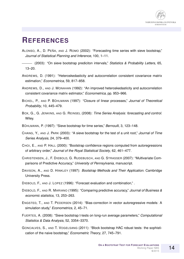

### **REFERENCES**

- ALONSO, A., D. PEÑA, AND J. ROMO (2002): "Forecasting time series with sieve bootstrap," *Journal of Statistical Planning and Inference*, 100, 1–11.
- (2003): "On sieve bootstrap prediciton intervals," *Statistics & Probability Letters*, 65, 13–20.
- ANDREWS, D. (1991): "Heteroskedasticity and autocorrelation consistent covariance matrix estimation," *Econometrica*, 59, 817–858.
- ANDREWS, D., AND J. MONAHAN (1992): "An improved heteroskedasticity and autocorrelation consistent covariance matrix estimator," *Econometrica*, pp. 953–966.
- BICKEL, P., AND P. BÜHLMANN (1997): "Closure of linear processes," *Journal of Theoretical Probability*, 10, 445–479.
- BOX, G., G. JENKINS, AND G. REINSEL (2008): *Time Series Analysis: forecasting and control*. Wiley.
- BÜHLMANN, P. (1997): "Sieve bootstrap for time series," *Bernoulli*, 3, 123–148.
- CHANG, Y., AND J. PARK (2003): "A sieve bootstrap for the test of a unit root," *Journal of Time Series Analysis*, 24, 379–400.
- CHOI, E., AND P. HALL (2000): "Bootstrap confidence regions computed from autoregressions of arbitrary order," *Journal of the Royal Statistical Society*, 62, 461–477.
- CHRISTENSEN, J., F. DIEBOLD, G. RUDEBUSCH, AND G. STRASSER (2007): "Multivariate Comparisons of Predictive Accuracy," *University of Pennsylvania*, manuscript.
- DAVISON, A., AND D. HINKLEY (1997): *Bootstrap Methods and Their Application*. Cambridge University Press.
- DIEBOLD, F., AND J. LOPEZ (1996): "Forecast evaluation and combination," .
- DIEBOLD, F., AND R. MARIANO (1995): "Comparing predictive accuracy," *Journal of Business & economic statistics*, 13, 253–263.
- ENGSTED, T., AND T. PEDERSEN (2014): "Bias-correction in vector autoregressive models: A simulation study," *Econometrics*, 2, 45–71.
- FUERTES, A. (2008): "Sieve bootstrap t-tests on long-run average parameters," *Computational Statistics & Data Analysis*, 52, 3354–3370.
- GONCALVES, S., AND T. VOGELSANG (2011): "Block bootstrap HAC robust tests: the sophistication of the naive bootstrap," *Econometric Theory*, 27, 745–791.

14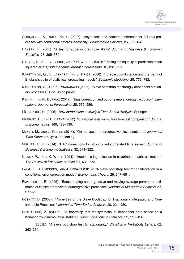- GONCALVES, S., AND L. KILIAN (2007): "Asymptotic and bootstrap inference for AR ( $\infty$ ) processes with conditional heteroskedasticity," *Econometric Reviews*, 26, 609–641.
- HANSEN, P. (2005): "A test for superior predictive ability," *Journal of Business & Economic Statistics*, 23, 365–380.
- HARVEY, D., S. LEYBOURNE, AND P. NEWBOLD (1997): "Testing the equality of prediction mean squared errors," *International Journal of forecasting*, 13, 281–291.
- KAPETANIOS, G., V. LABHARD, AND S. PRICE (2008): "Forecast combination and the Bank of England's suite of statistical forecasting models," *Economic Modelling*, 25, 772–792.
- KAPETANIOS, G., AND Z. PSARADAKIS (2006): "Sieve bootstrap for strongly dependent stationary processes," Discussion paper.
- KIM, H., AND N. DURMAZ (2012): "Bias correction and out-of-sample forecast accuracy," *International Journal of Forecasting*, 28, 575–586.
- LÜTKEPOHL, H. (2005): *New Introduction to Multiple Time Series Analysis*. Springer.
- MARIANO, R., AND D. PREVE (2012): "Statistical tests for multiple forecast comparison," *Journal of Econometrics*, 169, 123–130.
- MEYER, M., AND J. KREISS (2014): "On the vector autoregressive sieve bootstrap," *Journal of Time Series Analysis*, fortcoming.
- MULLER ¨ , U. K. (2014): "HAC corrections for strongly autocorrelated time series," *Journal of Business & Economic Statistics*, 32, 311–322.
- NEWEY, W., AND K. WEST (1994): "Automatic lag selection in covariance matrix estimation," *The Review of Economic Studies*, 61, 631–653.
- PALM, F., S. SMEEKES, AND J. URBAIN (2010): "A sieve bootstrap test for cointegration in a conditional error correction model," *Econometric Theory*, 26, 647–681.
- PAPARODITIS, E. (1996): "Bootstrapping autoregressive and moving average parameter estimates of infinite order vector autoregressive processes," *Journal of Multivariate Analysis*, 57, 277–296.
- POSKITT, D. (2008): "Properties of the Sieve Bootstrap for Fractionally Integrated and Non-Invertible Processes," *Journal of Time Series Analysis*, 29, 224–250.
- PSARADAKIS, Z. (2003a): "A bootstrap test for symmetry of dependent data based on a Kolmogorov–Smirnov type statistic," *Communications in Statistics*, 32, 113–126.

(2003b): "A sieve bootstrap test for stationarity," *Statistics & Probability Letters*, 62, 263–274.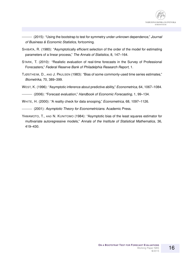

(2015): "Using the bootstrap to test for symmetry under unknown dependence," *Journal of Business & Economic Statistics*, fortcoming.

- SHIBATA, R. (1980): "Asymptotically efficient selection of the order of the model for estimating parameters of a linear process," *The Annals of Statistics*, 8, 147–164.
- STARK, T. (2010): "Realistic evaluation of real-time forecasts in the Survey of Professional Forecasters," *Federal Reserve Bank of Philadelphia Research Report*, 1.
- TJØSTHEIM, D., AND J. PAULSEN (1983): "Bias of some commonly-used time series estimates," *Biometrika*, 70, 389–399.
- WEST, K. (1996): "Asymptotic inference about predictive ability," *Econometrica*, 64, 1067–1084.

(2006): "Forecast evaluation," *Handbook of Economic Forecasting*, 1, 99–134.

- WHITE, H. (2000): "A reality check for data snooping," *Econometrica*, 68, 1097–1126.
- (2001): *Asymptotic Theory for Econometricians*. Academic Press.
- YAMAMOTO, T., AND N. KUNITOMO (1984): "Asymptotic bias of the least squares estimator for multivariate autoregressive models," *Annals of the Institute of Statistical Mathematics*, 36, 419–430.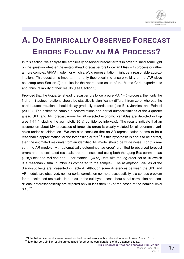

## **A. DO EMPIRICALLY OBSERVED FORECAST ERRORS FOLLOW AN MA PROCESS?**

In this section, we analyze the empirically observed forecast errors in order to shed some light on the question whether the h-step ahead forecast errors follow an MA $(h - 1)$  process or rather a more complex ARMA model, for which a Wold representation might be a reasonable approximation. This question is important not only theoretically to ensure validity of the VAR-sieve bootstrap (see Section 2) but also for the appropriate setup of the Monte Carlo experiments and, thus, reliability of their results (see Section 3).

Provided that the h-quarter ahead forecast errors follow a pure  $MA(h-1)$  process, then only the first  $h - 1$  autocorrelations should be statistically significantly different from zero, whereas the partial autocorrelations should decay gradually towards zero (see Box, Jenkins, and Reinsel (2008)). The estimated sample autocorrelations and partial autocorrelations of the 4-quarter ahead SPF and AR forecast errors for all selected economic variables are depicted in Figures 1-14 (including the asymptotic 95 % confidence intervals). The results indicate that an assumption about MA processes of forecasts errors is clearly violated for all economic variables under consideration. We can also conclude that an AR representation seems to be a reasonable approximation for the forecasting errors.<sup>19</sup> If this hypothesis is about to be correct, then the estimated residuals from an identified AR model should be white noise. For this reason, the AR models (with automatically determined lag order) are fitted to observed forecast errors and the estimated residuals are then inspected using both the Ljung-Box portmanteau  $(LBQ)$  test and McLeod and Li portmanteau  $(MLO)$  test with the lag order set to 10 (which is a reasonably small number as compared to the sample). The asymptotic  $p$ -values of the diagnostic tests are presented in Table 4. Although some differences between the SPF and AR models are observed, neither serial correlation nor heteroscedasticity is a serious problem for the estimated residuals. In particular, the null hypotheses about serial correlation and conditional heteroscedasticity are rejected only in less then 1/3 of the cases at the nominal level  $0.10^{20}$ 

<sup>&</sup>lt;sup>19</sup>Note that similar results are obtained for the forecast errors with a different forecast horizon  $h \in \{1,2,3\}$ . <sup>20</sup>Note that very similar results are obtained for other lag configurations of the diagnostic tests.

**ON A BOOTSTRAP TEST FOR FORECAST EVALUATIONS**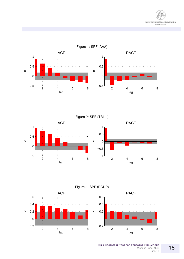



Figure 2: SPF (TBILL)





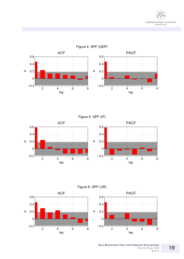



Figure 5: SPF (IP)





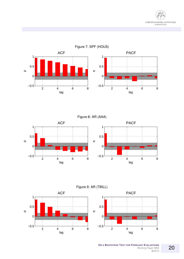



Figure 8: AR (AAA)





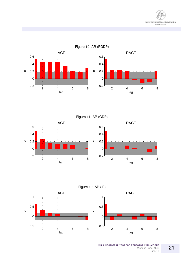



Figure 10: AR (PGDP)

Figure 11: AR (GDP)





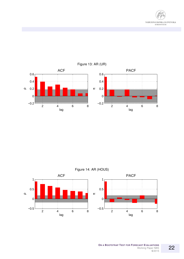



Figure 13: AR (UR)

Figure 14: AR (HOUS)